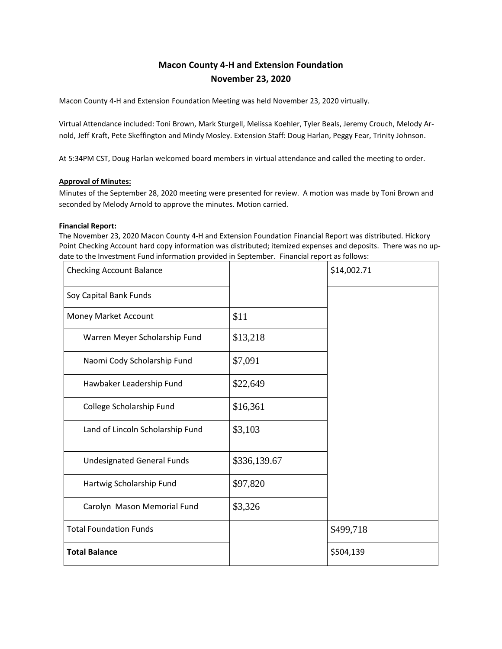# **Macon County 4-H and Extension Foundation November 23, 2020**

Macon County 4-H and Extension Foundation Meeting was held November 23, 2020 virtually.

Virtual Attendance included: Toni Brown, Mark Sturgell, Melissa Koehler, Tyler Beals, Jeremy Crouch, Melody Arnold, Jeff Kraft, Pete Skeffington and Mindy Mosley. Extension Staff: Doug Harlan, Peggy Fear, Trinity Johnson.

At 5:34PM CST, Doug Harlan welcomed board members in virtual attendance and called the meeting to order.

#### **Approval of Minutes:**

Minutes of the September 28, 2020 meeting were presented for review. A motion was made by Toni Brown and seconded by Melody Arnold to approve the minutes. Motion carried.

#### **Financial Report:**

The November 23, 2020 Macon County 4-H and Extension Foundation Financial Report was distributed. Hickory Point Checking Account hard copy information was distributed; itemized expenses and deposits. There was no update to the Investment Fund information provided in September. Financial report as follows:

| <b>Checking Account Balance</b>   |              | \$14,002.71 |
|-----------------------------------|--------------|-------------|
| Soy Capital Bank Funds            |              |             |
| Money Market Account              | \$11         |             |
| Warren Meyer Scholarship Fund     | \$13,218     |             |
| Naomi Cody Scholarship Fund       | \$7,091      |             |
| Hawbaker Leadership Fund          | \$22,649     |             |
| College Scholarship Fund          | \$16,361     |             |
| Land of Lincoln Scholarship Fund  | \$3,103      |             |
| <b>Undesignated General Funds</b> | \$336,139.67 |             |
| Hartwig Scholarship Fund          | \$97,820     |             |
| Carolyn Mason Memorial Fund       | \$3,326      |             |
| <b>Total Foundation Funds</b>     |              | \$499,718   |
| <b>Total Balance</b>              |              | \$504,139   |